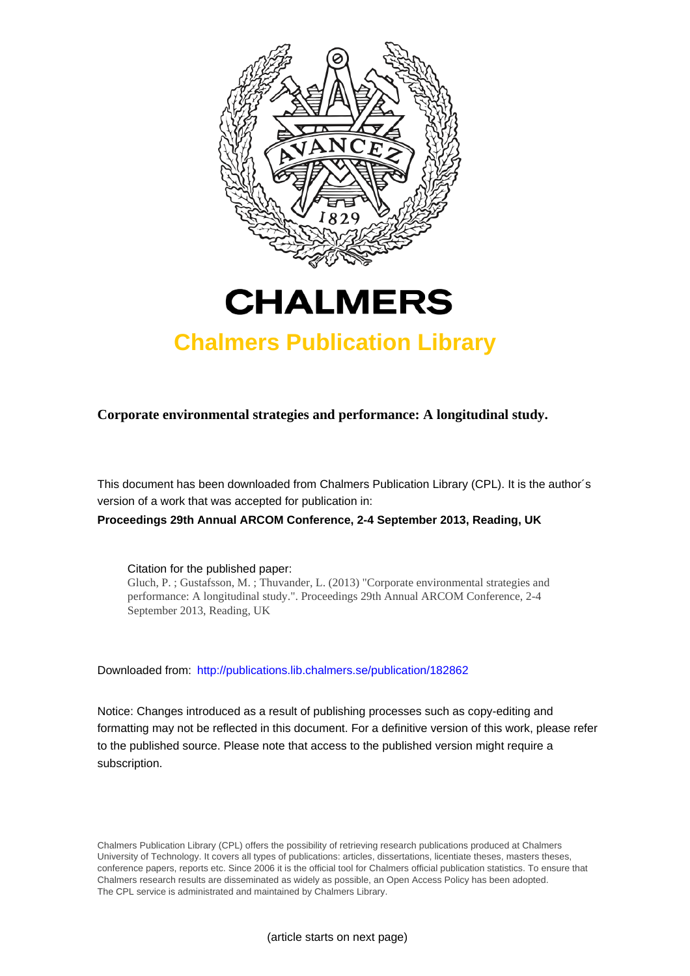



# **Chalmers Publication Library**

**Corporate environmental strategies and performance: A longitudinal study.**

This document has been downloaded from Chalmers Publication Library (CPL). It is the author´s version of a work that was accepted for publication in:

**Proceedings 29th Annual ARCOM Conference, 2-4 September 2013, Reading, UK**

Citation for the published paper:

Gluch, P. ; Gustafsson, M. ; Thuvander, L. (2013) "Corporate environmental strategies and performance: A longitudinal study.". Proceedings 29th Annual ARCOM Conference, 2-4 September 2013, Reading, UK

Downloaded from: <http://publications.lib.chalmers.se/publication/182862>

Notice: Changes introduced as a result of publishing processes such as copy-editing and formatting may not be reflected in this document. For a definitive version of this work, please refer to the published source. Please note that access to the published version might require a subscription.

Chalmers Publication Library (CPL) offers the possibility of retrieving research publications produced at Chalmers University of Technology. It covers all types of publications: articles, dissertations, licentiate theses, masters theses, conference papers, reports etc. Since 2006 it is the official tool for Chalmers official publication statistics. To ensure that Chalmers research results are disseminated as widely as possible, an Open Access Policy has been adopted. The CPL service is administrated and maintained by Chalmers Library.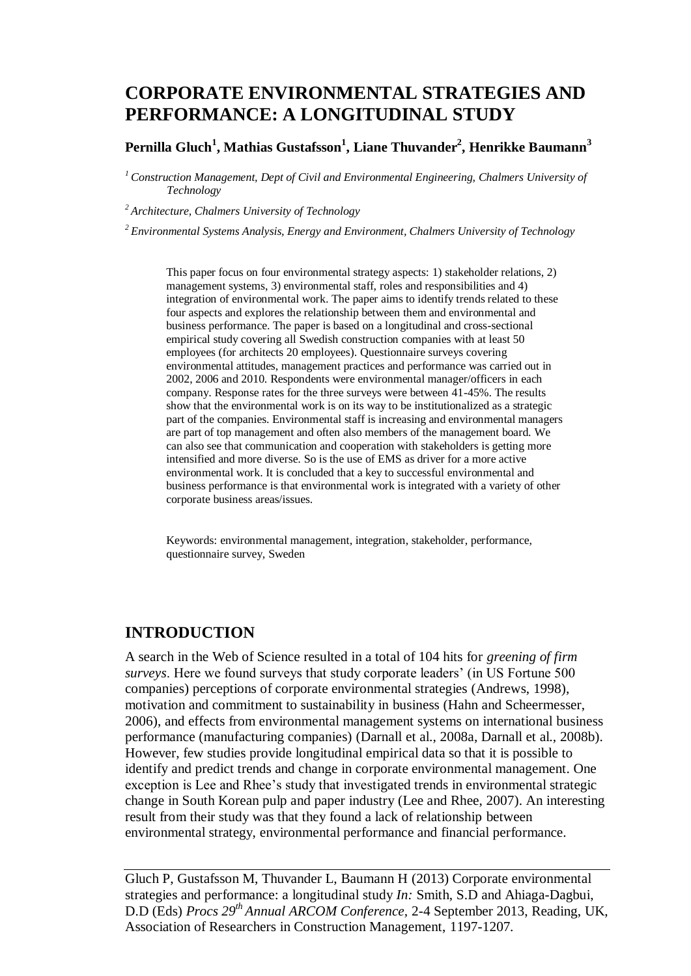# **CORPORATE ENVIRONMENTAL STRATEGIES AND PERFORMANCE: A LONGITUDINAL STUDY**

#### **Pernilla Gluch<sup>1</sup> , Mathias Gustafsson<sup>1</sup> , Liane Thuvander<sup>2</sup> , Henrikke Baumann<sup>3</sup>**

*<sup>1</sup>Construction Management, Dept of Civil and Environmental Engineering, Chalmers University of Technology*

*<sup>2</sup>Architecture, Chalmers University of Technology*

*<sup>2</sup>Environmental Systems Analysis, Energy and Environment, Chalmers University of Technology*

This paper focus on four environmental strategy aspects: 1) stakeholder relations, 2) management systems, 3) environmental staff, roles and responsibilities and 4) integration of environmental work. The paper aims to identify trends related to these four aspects and explores the relationship between them and environmental and business performance. The paper is based on a longitudinal and cross-sectional empirical study covering all Swedish construction companies with at least 50 employees (for architects 20 employees). Questionnaire surveys covering environmental attitudes, management practices and performance was carried out in 2002, 2006 and 2010. Respondents were environmental manager/officers in each company. Response rates for the three surveys were between 41-45%. The results show that the environmental work is on its way to be institutionalized as a strategic part of the companies. Environmental staff is increasing and environmental managers are part of top management and often also members of the management board. We can also see that communication and cooperation with stakeholders is getting more intensified and more diverse. So is the use of EMS as driver for a more active environmental work. It is concluded that a key to successful environmental and business performance is that environmental work is integrated with a variety of other corporate business areas/issues.

Keywords: environmental management, integration, stakeholder, performance, questionnaire survey, Sweden

### **INTRODUCTION**

A search in the Web of Science resulted in a total of 104 hits for *greening of firm surveys*. Here we found surveys that study corporate leaders' (in US Fortune 500 companies) perceptions of corporate environmental strategies (Andrews, 1998), motivation and commitment to sustainability in business (Hahn and Scheermesser, 2006), and effects from environmental management systems on international business performance (manufacturing companies) (Darnall et al., 2008a, Darnall et al., 2008b). However, few studies provide longitudinal empirical data so that it is possible to identify and predict trends and change in corporate environmental management. One exception is Lee and Rhee's study that investigated trends in environmental strategic change in South Korean pulp and paper industry (Lee and Rhee, 2007). An interesting result from their study was that they found a lack of relationship between environmental strategy, environmental performance and financial performance.

Gluch P, Gustafsson M, Thuvander L, Baumann H (2013) Corporate environmental strategies and performance: a longitudinal study *In:* Smith, S.D and Ahiaga-Dagbui, D.D (Eds) *Procs 29th Annual ARCOM Conference,* 2-4 September 2013, Reading, UK, Association of Researchers in Construction Management, 1197[-1207.](#page-11-0)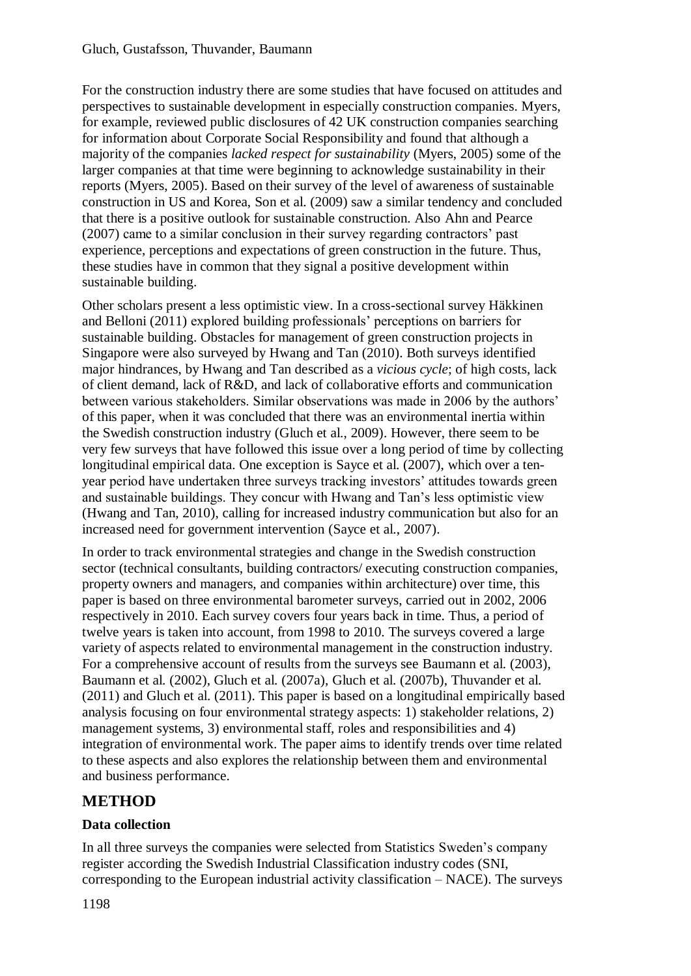For the construction industry there are some studies that have focused on attitudes and perspectives to sustainable development in especially construction companies. Myers, for example, reviewed public disclosures of 42 UK construction companies searching for information about Corporate Social Responsibility and found that although a majority of the companies *lacked respect for sustainability* (Myers, 2005) some of the larger companies at that time were beginning to acknowledge sustainability in their reports (Myers, 2005). Based on their survey of the level of awareness of sustainable construction in US and Korea, Son et al. (2009) saw a similar tendency and concluded that there is a positive outlook for sustainable construction. Also Ahn and Pearce (2007) came to a similar conclusion in their survey regarding contractors' past experience, perceptions and expectations of green construction in the future. Thus, these studies have in common that they signal a positive development within sustainable building.

Other scholars present a less optimistic view. In a cross-sectional survey Häkkinen and Belloni (2011) explored building professionals' perceptions on barriers for sustainable building. Obstacles for management of green construction projects in Singapore were also surveyed by Hwang and Tan (2010). Both surveys identified major hindrances, by Hwang and Tan described as a *vicious cycle*; of high costs, lack of client demand, lack of R&D, and lack of collaborative efforts and communication between various stakeholders. Similar observations was made in 2006 by the authors' of this paper, when it was concluded that there was an environmental inertia within the Swedish construction industry (Gluch et al., 2009). However, there seem to be very few surveys that have followed this issue over a long period of time by collecting longitudinal empirical data. One exception is Sayce et al. (2007), which over a tenyear period have undertaken three surveys tracking investors' attitudes towards green and sustainable buildings. They concur with Hwang and Tan's less optimistic view (Hwang and Tan, 2010), calling for increased industry communication but also for an increased need for government intervention (Sayce et al., 2007).

In order to track environmental strategies and change in the Swedish construction sector (technical consultants, building contractors/ executing construction companies, property owners and managers, and companies within architecture) over time, this paper is based on three environmental barometer surveys, carried out in 2002, 2006 respectively in 2010. Each survey covers four years back in time. Thus, a period of twelve years is taken into account, from 1998 to 2010. The surveys covered a large variety of aspects related to environmental management in the construction industry. For a comprehensive account of results from the surveys see Baumann et al. (2003), Baumann et al. (2002), Gluch et al. (2007a), Gluch et al. (2007b), Thuvander et al. (2011) and Gluch et al. (2011). This paper is based on a longitudinal empirically based analysis focusing on four environmental strategy aspects: 1) stakeholder relations, 2) management systems, 3) environmental staff, roles and responsibilities and 4) integration of environmental work. The paper aims to identify trends over time related to these aspects and also explores the relationship between them and environmental and business performance.

# **METHOD**

### **Data collection**

In all three surveys the companies were selected from Statistics Sweden's company register according the Swedish Industrial Classification industry codes (SNI, corresponding to the European industrial activity classification – NACE). The surveys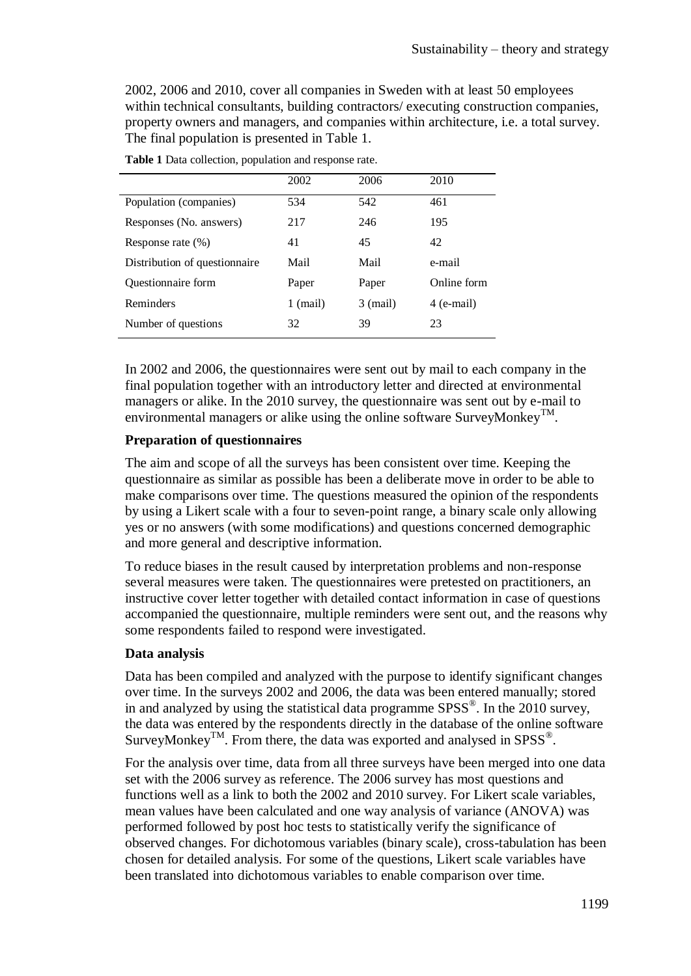2002, 2006 and 2010, cover all companies in Sweden with at least 50 employees within technical consultants, building contractors/ executing construction companies, property owners and managers, and companies within architecture, i.e. a total survey. The final population is presented in Table 1.

|                               | 2002     | 2006       | 2010        |
|-------------------------------|----------|------------|-------------|
| Population (companies)        | 534      | 542        | 461         |
| Responses (No. answers)       | 217      | 246        | 195         |
| Response rate $(\%)$          | 41       | 45         | 42          |
| Distribution of questionnaire | Mail     | Mail       | e-mail      |
| Questionnaire form            | Paper    | Paper      | Online form |
| Reminders                     | 1 (mail) | $3$ (mail) | 4 (e-mail)  |
| Number of questions           | 32       | 39         | 23          |

**Table 1** Data collection, population and response rate.

In 2002 and 2006, the questionnaires were sent out by mail to each company in the final population together with an introductory letter and directed at environmental managers or alike. In the 2010 survey, the questionnaire was sent out by e-mail to environmental managers or alike using the online software SurveyMonkey<sup>TM</sup>.

#### **Preparation of questionnaires**

The aim and scope of all the surveys has been consistent over time. Keeping the questionnaire as similar as possible has been a deliberate move in order to be able to make comparisons over time. The questions measured the opinion of the respondents by using a Likert scale with a four to seven-point range, a binary scale only allowing yes or no answers (with some modifications) and questions concerned demographic and more general and descriptive information.

To reduce biases in the result caused by interpretation problems and non-response several measures were taken. The questionnaires were pretested on practitioners, an instructive cover letter together with detailed contact information in case of questions accompanied the questionnaire, multiple reminders were sent out, and the reasons why some respondents failed to respond were investigated.

#### **Data analysis**

Data has been compiled and analyzed with the purpose to identify significant changes over time. In the surveys 2002 and 2006, the data was been entered manually; stored in and analyzed by using the statistical data programme  $SPSS^{\circledast}$ . In the 2010 survey, the data was entered by the respondents directly in the database of the online software SurveyMonkey<sup>TM</sup>. From there, the data was exported and analysed in SPSS<sup>®</sup>.

For the analysis over time, data from all three surveys have been merged into one data set with the 2006 survey as reference. The 2006 survey has most questions and functions well as a link to both the 2002 and 2010 survey. For Likert scale variables, mean values have been calculated and one way analysis of variance (ANOVA) was performed followed by post hoc tests to statistically verify the significance of observed changes. For dichotomous variables (binary scale), cross-tabulation has been chosen for detailed analysis. For some of the questions, Likert scale variables have been translated into dichotomous variables to enable comparison over time.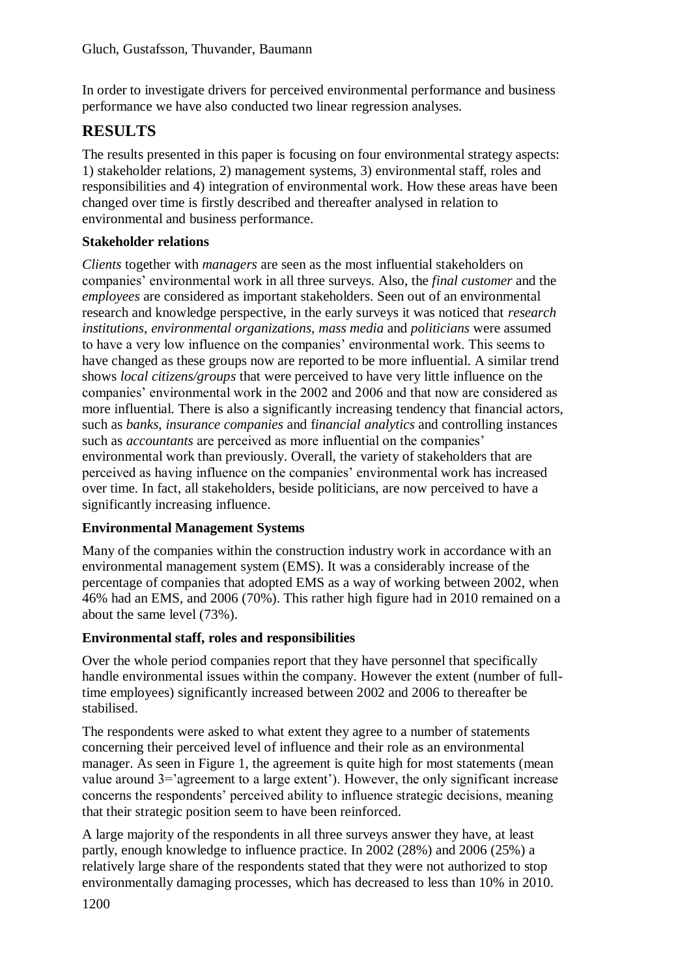In order to investigate drivers for perceived environmental performance and business performance we have also conducted two linear regression analyses.

# **RESULTS**

The results presented in this paper is focusing on four environmental strategy aspects: 1) stakeholder relations, 2) management systems, 3) environmental staff, roles and responsibilities and 4) integration of environmental work. How these areas have been changed over time is firstly described and thereafter analysed in relation to environmental and business performance.

### **Stakeholder relations**

*Clients* together with *managers* are seen as the most influential stakeholders on companies' environmental work in all three surveys. Also, the *final customer* and the *employees* are considered as important stakeholders. Seen out of an environmental research and knowledge perspective, in the early surveys it was noticed that *research institutions*, *environmental organizations*, *mass media* and *politicians* were assumed to have a very low influence on the companies' environmental work. This seems to have changed as these groups now are reported to be more influential. A similar trend shows *local citizens/groups* that were perceived to have very little influence on the companies' environmental work in the 2002 and 2006 and that now are considered as more influential. There is also a significantly increasing tendency that financial actors, such as *banks*, *insurance companies* and f*inancial analytics* and controlling instances such as *accountants* are perceived as more influential on the companies' environmental work than previously. Overall, the variety of stakeholders that are perceived as having influence on the companies' environmental work has increased over time. In fact, all stakeholders, beside politicians, are now perceived to have a significantly increasing influence.

### **Environmental Management Systems**

Many of the companies within the construction industry work in accordance with an environmental management system (EMS). It was a considerably increase of the percentage of companies that adopted EMS as a way of working between 2002, when 46% had an EMS, and 2006 (70%). This rather high figure had in 2010 remained on a about the same level (73%).

### **Environmental staff, roles and responsibilities**

Over the whole period companies report that they have personnel that specifically handle environmental issues within the company. However the extent (number of fulltime employees) significantly increased between 2002 and 2006 to thereafter be stabilised.

The respondents were asked to what extent they agree to a number of statements concerning their perceived level of influence and their role as an environmental manager. As seen in Figure 1, the agreement is quite high for most statements (mean value around 3='agreement to a large extent'). However, the only significant increase concerns the respondents' perceived ability to influence strategic decisions, meaning that their strategic position seem to have been reinforced.

A large majority of the respondents in all three surveys answer they have, at least partly, enough knowledge to influence practice. In 2002 (28%) and 2006 (25%) a relatively large share of the respondents stated that they were not authorized to stop environmentally damaging processes, which has decreased to less than 10% in 2010.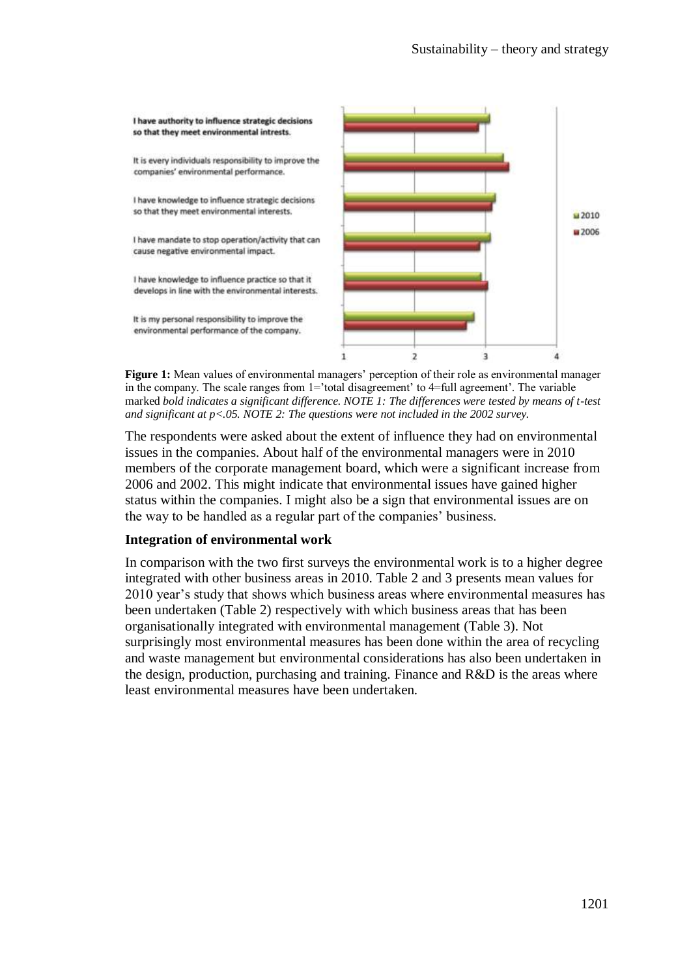

**Figure 1:** Mean values of environmental managers' perception of their role as environmental manager in the company. The scale ranges from 1='total disagreement' to 4=full agreement'. The variable marked *bold indicates a significant difference. NOTE 1: The differences were tested by means of t-test and significant at p<.05. NOTE 2: The questions were not included in the 2002 survey.*

The respondents were asked about the extent of influence they had on environmental issues in the companies. About half of the environmental managers were in 2010 members of the corporate management board, which were a significant increase from 2006 and 2002. This might indicate that environmental issues have gained higher status within the companies. I might also be a sign that environmental issues are on the way to be handled as a regular part of the companies' business.

#### **Integration of environmental work**

In comparison with the two first surveys the environmental work is to a higher degree integrated with other business areas in 2010. Table 2 and 3 presents mean values for 2010 year's study that shows which business areas where environmental measures has been undertaken (Table 2) respectively with which business areas that has been organisationally integrated with environmental management (Table 3). Not surprisingly most environmental measures has been done within the area of recycling and waste management but environmental considerations has also been undertaken in the design, production, purchasing and training. Finance and R&D is the areas where least environmental measures have been undertaken.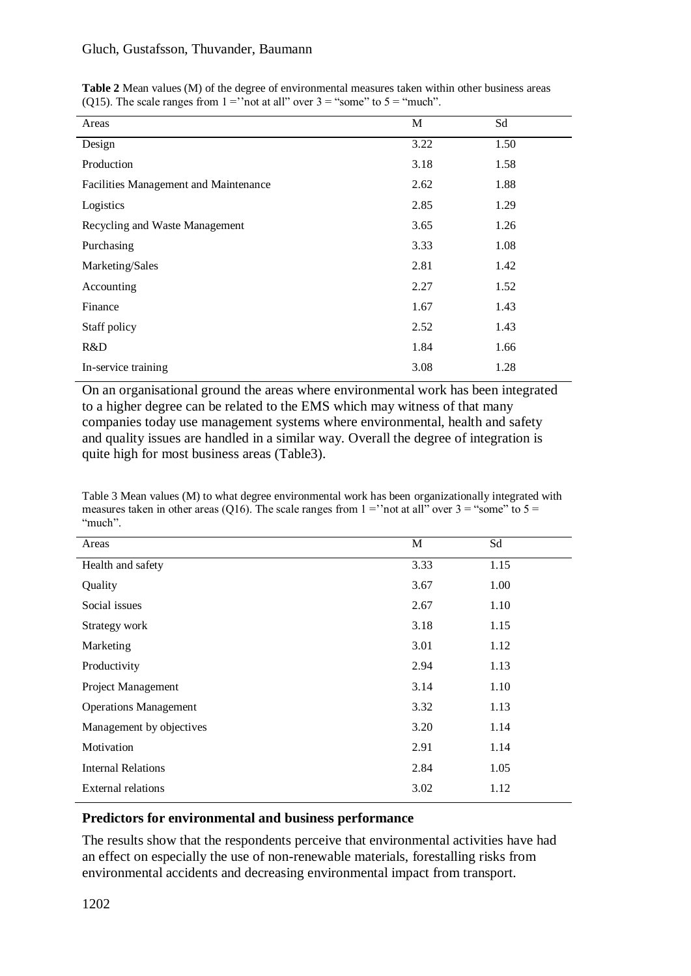#### Gluch, Gustafsson, Thuvander, Baumann

| Areas                                 | M    | Sd   |
|---------------------------------------|------|------|
| Design                                | 3.22 | 1.50 |
| Production                            | 3.18 | 1.58 |
| Facilities Management and Maintenance | 2.62 | 1.88 |
| Logistics                             | 2.85 | 1.29 |
| Recycling and Waste Management        | 3.65 | 1.26 |
| Purchasing                            | 3.33 | 1.08 |
| Marketing/Sales                       | 2.81 | 1.42 |
| Accounting                            | 2.27 | 1.52 |
| Finance                               | 1.67 | 1.43 |
| Staff policy                          | 2.52 | 1.43 |
| R&D                                   | 1.84 | 1.66 |
| In-service training                   | 3.08 | 1.28 |

**Table 2** Mean values (M) of the degree of environmental measures taken within other business areas (Q15). The scale ranges from  $1 =$ ''not at all'' over  $3 =$  "some" to  $5 =$  "much".

On an organisational ground the areas where environmental work has been integrated to a higher degree can be related to the EMS which may witness of that many companies today use management systems where environmental, health and safety and quality issues are handled in a similar way. Overall the degree of integration is quite high for most business areas (Table3).

Table 3 Mean values (M) to what degree environmental work has been organizationally integrated with measures taken in other areas (Q16). The scale ranges from  $1 =$ "not at all" over  $3 =$ "some" to  $5 =$ "much".

| Areas                        | M    | Sd   |
|------------------------------|------|------|
| Health and safety            | 3.33 | 1.15 |
| Quality                      | 3.67 | 1.00 |
| Social issues                | 2.67 | 1.10 |
| Strategy work                | 3.18 | 1.15 |
| Marketing                    | 3.01 | 1.12 |
| Productivity                 | 2.94 | 1.13 |
| Project Management           | 3.14 | 1.10 |
| <b>Operations Management</b> | 3.32 | 1.13 |
| Management by objectives     | 3.20 | 1.14 |
| Motivation                   | 2.91 | 1.14 |
| <b>Internal Relations</b>    | 2.84 | 1.05 |
| External relations           | 3.02 | 1.12 |

#### **Predictors for environmental and business performance**

The results show that the respondents perceive that environmental activities have had an effect on especially the use of non-renewable materials, forestalling risks from environmental accidents and decreasing environmental impact from transport.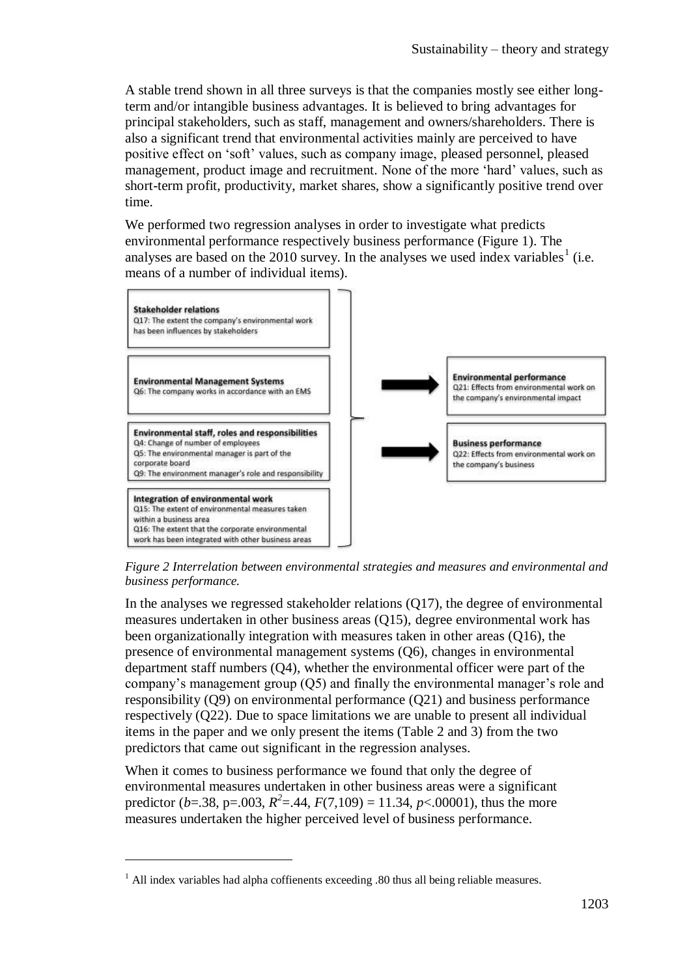A stable trend shown in all three surveys is that the companies mostly see either longterm and/or intangible business advantages. It is believed to bring advantages for principal stakeholders, such as staff, management and owners/shareholders. There is also a significant trend that environmental activities mainly are perceived to have positive effect on 'soft' values, such as company image, pleased personnel, pleased management, product image and recruitment. None of the more 'hard' values, such as short-term profit, productivity, market shares, show a significantly positive trend over time.

We performed two regression analyses in order to investigate what predicts environmental performance respectively business performance (Figure 1). The analyses are based on the 2010 survey. In the analyses we used index variables<sup>1</sup> (i.e. means of a number of individual items).



*Figure 2 Interrelation between environmental strategies and measures and environmental and business performance.* 

In the analyses we regressed stakeholder relations (Q17), the degree of environmental measures undertaken in other business areas (Q15), degree environmental work has been organizationally integration with measures taken in other areas (Q16), the presence of environmental management systems (Q6), changes in environmental department staff numbers (Q4), whether the environmental officer were part of the company's management group (Q5) and finally the environmental manager's role and responsibility (Q9) on environmental performance (Q21) and business performance respectively (Q22). Due to space limitations we are unable to present all individual items in the paper and we only present the items (Table 2 and 3) from the two predictors that came out significant in the regression analyses.

When it comes to business performance we found that only the degree of environmental measures undertaken in other business areas were a significant predictor (*b*=.38, p=.003,  $R^2$ =.44,  $F(7,109) = 11.34$ , *p*<.00001), thus the more measures undertaken the higher perceived level of business performance.

 $\overline{a}$ 

 $<sup>1</sup>$  All index variables had alpha coffienents exceeding .80 thus all being reliable measures.</sup>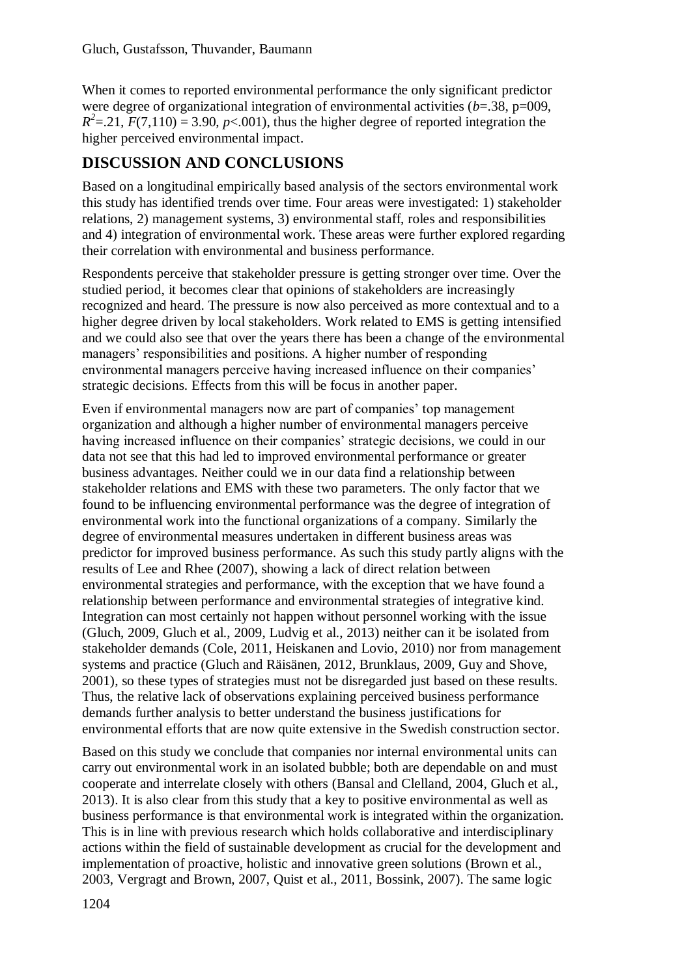When it comes to reported environmental performance the only significant predictor were degree of organizational integration of environmental activities (*b*=.38, p=009,  $R^2$ =.21*, F*(7,110) = 3.90, *p*<.001), thus the higher degree of reported integration the higher perceived environmental impact.

# **DISCUSSION AND CONCLUSIONS**

Based on a longitudinal empirically based analysis of the sectors environmental work this study has identified trends over time. Four areas were investigated: 1) stakeholder relations, 2) management systems, 3) environmental staff, roles and responsibilities and 4) integration of environmental work. These areas were further explored regarding their correlation with environmental and business performance.

Respondents perceive that stakeholder pressure is getting stronger over time. Over the studied period, it becomes clear that opinions of stakeholders are increasingly recognized and heard. The pressure is now also perceived as more contextual and to a higher degree driven by local stakeholders. Work related to EMS is getting intensified and we could also see that over the years there has been a change of the environmental managers' responsibilities and positions. A higher number of responding environmental managers perceive having increased influence on their companies' strategic decisions. Effects from this will be focus in another paper.

Even if environmental managers now are part of companies' top management organization and although a higher number of environmental managers perceive having increased influence on their companies' strategic decisions, we could in our data not see that this had led to improved environmental performance or greater business advantages. Neither could we in our data find a relationship between stakeholder relations and EMS with these two parameters. The only factor that we found to be influencing environmental performance was the degree of integration of environmental work into the functional organizations of a company. Similarly the degree of environmental measures undertaken in different business areas was predictor for improved business performance. As such this study partly aligns with the results of Lee and Rhee (2007), showing a lack of direct relation between environmental strategies and performance, with the exception that we have found a relationship between performance and environmental strategies of integrative kind. Integration can most certainly not happen without personnel working with the issue (Gluch, 2009, Gluch et al., 2009, Ludvig et al., 2013) neither can it be isolated from stakeholder demands (Cole, 2011, Heiskanen and Lovio, 2010) nor from management systems and practice (Gluch and Räisänen, 2012, Brunklaus, 2009, Guy and Shove, 2001), so these types of strategies must not be disregarded just based on these results. Thus, the relative lack of observations explaining perceived business performance demands further analysis to better understand the business justifications for environmental efforts that are now quite extensive in the Swedish construction sector.

Based on this study we conclude that companies nor internal environmental units can carry out environmental work in an isolated bubble; both are dependable on and must cooperate and interrelate closely with others (Bansal and Clelland, 2004, Gluch et al., 2013). It is also clear from this study that a key to positive environmental as well as business performance is that environmental work is integrated within the organization. This is in line with previous research which holds collaborative and interdisciplinary actions within the field of sustainable development as crucial for the development and implementation of proactive, holistic and innovative green solutions (Brown et al., 2003, Vergragt and Brown, 2007, Quist et al., 2011, Bossink, 2007). The same logic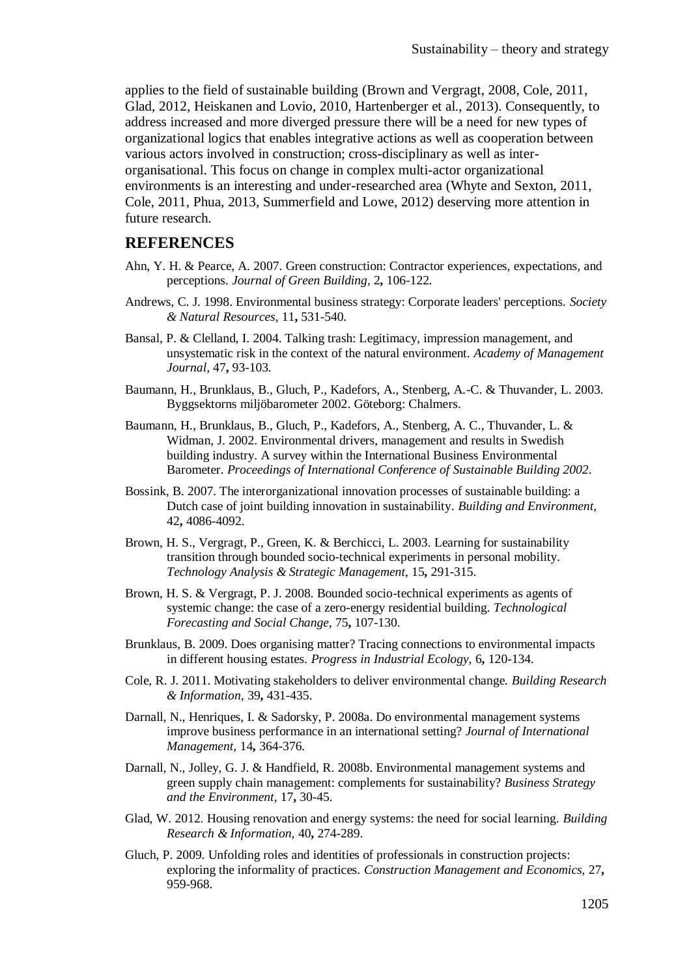applies to the field of sustainable building (Brown and Vergragt, 2008, Cole, 2011, Glad, 2012, Heiskanen and Lovio, 2010, Hartenberger et al., 2013). Consequently, to address increased and more diverged pressure there will be a need for new types of organizational logics that enables integrative actions as well as cooperation between various actors involved in construction; cross-disciplinary as well as interorganisational. This focus on change in complex multi-actor organizational environments is an interesting and under-researched area (Whyte and Sexton, 2011, Cole, 2011, Phua, 2013, Summerfield and Lowe, 2012) deserving more attention in future research.

#### **REFERENCES**

- Ahn, Y. H. & Pearce, A. 2007. Green construction: Contractor experiences, expectations, and perceptions. *Journal of Green Building,* 2**,** 106-122.
- Andrews, C. J. 1998. Environmental business strategy: Corporate leaders' perceptions. *Society & Natural Resources,* 11**,** 531-540.
- Bansal, P. & Clelland, I. 2004. Talking trash: Legitimacy, impression management, and unsystematic risk in the context of the natural environment. *Academy of Management Journal,* 47**,** 93-103.
- Baumann, H., Brunklaus, B., Gluch, P., Kadefors, A., Stenberg, A.-C. & Thuvander, L. 2003. Byggsektorns miljöbarometer 2002. Göteborg: Chalmers.
- Baumann, H., Brunklaus, B., Gluch, P., Kadefors, A., Stenberg, A. C., Thuvander, L. & Widman, J. 2002. Environmental drivers, management and results in Swedish building industry. A survey within the International Business Environmental Barometer. *Proceedings of International Conference of Sustainable Building 2002*.
- Bossink, B. 2007. The interorganizational innovation processes of sustainable building: a Dutch case of joint building innovation in sustainability. *Building and Environment,* 42**,** 4086-4092.
- Brown, H. S., Vergragt, P., Green, K. & Berchicci, L. 2003. Learning for sustainability transition through bounded socio-technical experiments in personal mobility. *Technology Analysis & Strategic Management,* 15**,** 291-315.
- Brown, H. S. & Vergragt, P. J. 2008. Bounded socio-technical experiments as agents of systemic change: the case of a zero-energy residential building. *Technological Forecasting and Social Change,* 75**,** 107-130.
- Brunklaus, B. 2009. Does organising matter? Tracing connections to environmental impacts in different housing estates. *Progress in Industrial Ecology,* 6**,** 120-134.
- Cole, R. J. 2011. Motivating stakeholders to deliver environmental change. *Building Research & Information,* 39**,** 431-435.
- Darnall, N., Henriques, I. & Sadorsky, P. 2008a. Do environmental management systems improve business performance in an international setting? *Journal of International Management,* 14**,** 364-376.
- Darnall, N., Jolley, G. J. & Handfield, R. 2008b. Environmental management systems and green supply chain management: complements for sustainability? *Business Strategy and the Environment,* 17**,** 30-45.
- Glad, W. 2012. Housing renovation and energy systems: the need for social learning. *Building Research & Information,* 40**,** 274-289.
- Gluch, P. 2009. Unfolding roles and identities of professionals in construction projects: exploring the informality of practices. *Construction Management and Economics,* 27**,** 959-968.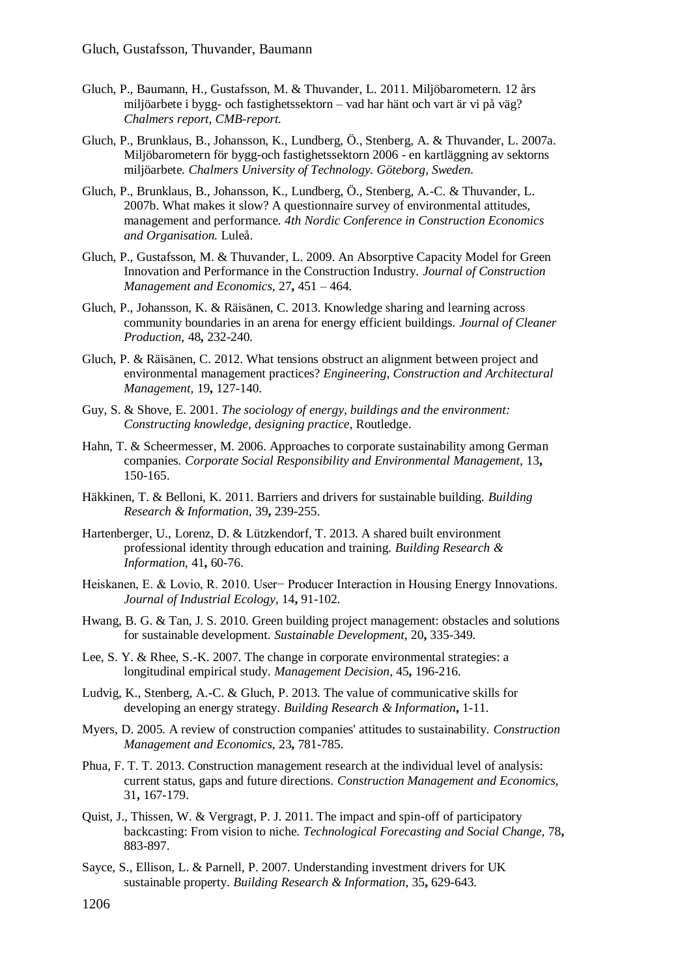- Gluch, P., Baumann, H., Gustafsson, M. & Thuvander, L. 2011. Miljöbarometern. 12 års miljöarbete i bygg- och fastighetssektorn – vad har hänt och vart är vi på väg? *Chalmers report, CMB-report.*
- Gluch, P., Brunklaus, B., Johansson, K., Lundberg, Ö., Stenberg, A. & Thuvander, L. 2007a. Miljöbarometern för bygg-och fastighetssektorn 2006 - en kartläggning av sektorns miljöarbete. *Chalmers University of Technology. Göteborg, Sweden.*
- Gluch, P., Brunklaus, B., Johansson, K., Lundberg, Ö., Stenberg, A.-C. & Thuvander, L. 2007b. What makes it slow? A questionnaire survey of environmental attitudes, management and performance. *4th Nordic Conference in Construction Economics and Organisation.* Luleå.
- Gluch, P., Gustafsson, M. & Thuvander, L. 2009. An Absorptive Capacity Model for Green Innovation and Performance in the Construction Industry. *Journal of Construction Management and Economics,* 27**,** 451 – 464.
- Gluch, P., Johansson, K. & Räisänen, C. 2013. Knowledge sharing and learning across community boundaries in an arena for energy efficient buildings. *Journal of Cleaner Production,* 48**,** 232-240.
- Gluch, P. & Räisänen, C. 2012. What tensions obstruct an alignment between project and environmental management practices? *Engineering, Construction and Architectural Management,* 19**,** 127-140.
- Guy, S. & Shove, E. 2001. *The sociology of energy, buildings and the environment: Constructing knowledge, designing practice*, Routledge.
- Hahn, T. & Scheermesser, M. 2006. Approaches to corporate sustainability among German companies. *Corporate Social Responsibility and Environmental Management,* 13**,** 150-165.
- Häkkinen, T. & Belloni, K. 2011. Barriers and drivers for sustainable building. *Building Research & Information,* 39**,** 239-255.
- Hartenberger, U., Lorenz, D. & Lützkendorf, T. 2013. A shared built environment professional identity through education and training. *Building Research & Information,* 41**,** 60-76.
- Heiskanen, E. & Lovio, R. 2010. User− Producer Interaction in Housing Energy Innovations. *Journal of Industrial Ecology,* 14**,** 91-102.
- Hwang, B. G. & Tan, J. S. 2010. Green building project management: obstacles and solutions for sustainable development. *Sustainable Development,* 20**,** 335-349.
- Lee, S. Y. & Rhee, S.-K. 2007. The change in corporate environmental strategies: a longitudinal empirical study. *Management Decision,* 45**,** 196-216.
- Ludvig, K., Stenberg, A.-C. & Gluch, P. 2013. The value of communicative skills for developing an energy strategy. *Building Research & Information***,** 1-11.
- Myers, D. 2005. A review of construction companies' attitudes to sustainability. *Construction Management and Economics,* 23**,** 781-785.
- Phua, F. T. T. 2013. Construction management research at the individual level of analysis: current status, gaps and future directions. *Construction Management and Economics,* 31**,** 167-179.
- Quist, J., Thissen, W. & Vergragt, P. J. 2011. The impact and spin-off of participatory backcasting: From vision to niche. *Technological Forecasting and Social Change,* 78**,** 883-897.
- Sayce, S., Ellison, L. & Parnell, P. 2007. Understanding investment drivers for UK sustainable property. *Building Research & Information,* 35**,** 629-643.